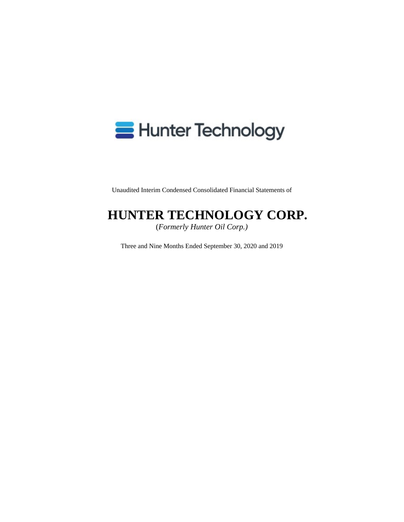# **B** Hunter Technology

Unaudited Interim Condensed Consolidated Financial Statements of

# **HUNTER TECHNOLOGY CORP.**

(*Formerly Hunter Oil Corp.)* 

Three and Nine Months Ended September 30, 2020 and 2019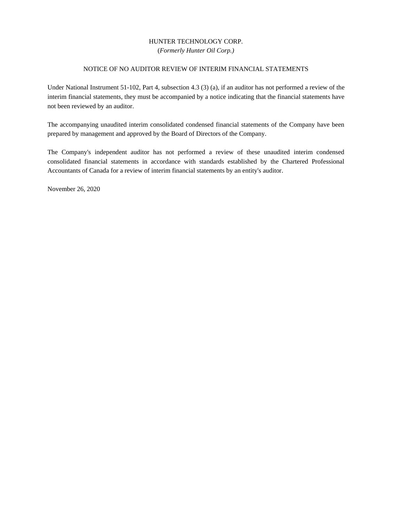### HUNTER TECHNOLOGY CORP. (*Formerly Hunter Oil Corp.)*

#### NOTICE OF NO AUDITOR REVIEW OF INTERIM FINANCIAL STATEMENTS

Under National Instrument 51-102, Part 4, subsection 4.3 (3) (a), if an auditor has not performed a review of the interim financial statements, they must be accompanied by a notice indicating that the financial statements have not been reviewed by an auditor.

The accompanying unaudited interim consolidated condensed financial statements of the Company have been prepared by management and approved by the Board of Directors of the Company.

The Company's independent auditor has not performed a review of these unaudited interim condensed consolidated financial statements in accordance with standards established by the Chartered Professional Accountants of Canada for a review of interim financial statements by an entity's auditor.

November 26, 2020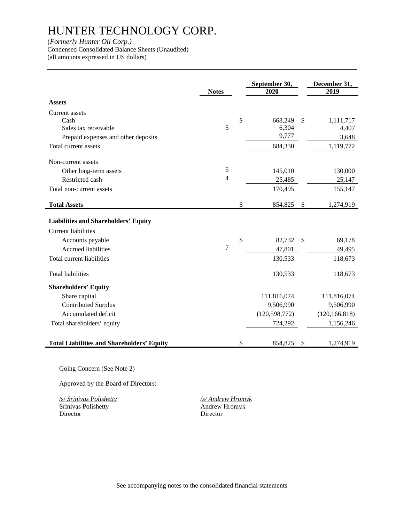(*Formerly Hunter Oil Corp.)* 

Condensed Consolidated Balance Sheets (Unaudited)

(all amounts expressed in US dollars)

|                                                   | <b>Notes</b>   | September 30,<br>2020 | December 31,<br>2019 |
|---------------------------------------------------|----------------|-----------------------|----------------------|
| <b>Assets</b>                                     |                |                       |                      |
| <b>Current</b> assets                             |                |                       |                      |
| Cash                                              |                | \$<br>668,249         | \$<br>1,111,717      |
| Sales tax receivable                              | 5              | 6,304                 | 4,407                |
| Prepaid expenses and other deposits               |                | 9,777                 | 3,648                |
| Total current assets                              |                | 684,330               | 1,119,772            |
| Non-current assets                                |                |                       |                      |
| Other long-term assets                            | 6              | 145,010               | 130,000              |
| Restricted cash                                   | $\overline{4}$ | 25,485                | 25,147               |
| Total non-current assets                          |                | 170,495               | 155,147              |
| <b>Total Assets</b>                               |                | \$<br>854,825         | \$<br>1,274,919      |
| <b>Liabilities and Shareholders' Equity</b>       |                |                       |                      |
| <b>Current liabilities</b>                        |                |                       |                      |
| Accounts payable                                  |                | \$<br>82,732          | \$<br>69,178         |
| <b>Accrued liabilities</b>                        | 7              | 47,801                | 49,495               |
| Total current liabilities                         |                | 130,533               | 118,673              |
| <b>Total liabilities</b>                          |                | 130,533               | 118,673              |
| <b>Shareholders' Equity</b>                       |                |                       |                      |
| Share capital                                     |                | 111,816,074           | 111,816,074          |
| <b>Contributed Surplus</b>                        |                | 9,506,990             | 9,506,990            |
| Accumulated deficit                               |                | (120, 598, 772)       | (120, 166, 818)      |
| Total shareholders' equity                        |                | 724,292               | 1,156,246            |
| <b>Total Liabilities and Shareholders' Equity</b> |                | \$<br>854,825         | \$<br>1,274,919      |

Going Concern (See Note 2)

Approved by the Board of Directors:

 /s/ *Srinivas Polishetty /s/ Andrew Hromyk*  Srinivas Polishetty Director Director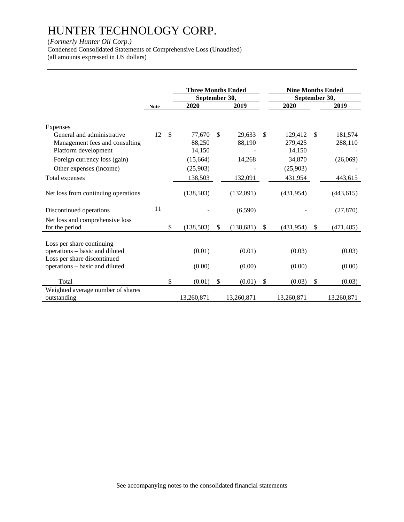### (*Formerly Hunter Oil Corp.)*

Condensed Consolidated Statements of Comprehensive Loss (Unaudited) (all amounts expressed in US dollars)

|                                                               |             |               | <b>Three Months Ended</b> |                  |               | <b>Nine Months Ended</b> |               |            |
|---------------------------------------------------------------|-------------|---------------|---------------------------|------------------|---------------|--------------------------|---------------|------------|
|                                                               |             |               | September 30,             |                  |               | September 30,            |               |            |
|                                                               | <b>Note</b> |               | 2020                      | 2019             |               | 2020                     |               | 2019       |
| Expenses<br>General and administrative                        | 12          | $\mathcal{S}$ | 77,670                    | \$<br>29,633     | <sup>\$</sup> | 129,412                  | <sup>\$</sup> | 181,574    |
| Management fees and consulting<br>Platform development        |             |               | 88,250<br>14,150          | 88,190           |               | 279,425<br>14,150        |               | 288,110    |
| Foreign currency loss (gain)<br>Other expenses (income)       |             |               | (15,664)<br>(25,903)      | 14,268           |               | 34,870<br>(25,903)       |               | (26,069)   |
| Total expenses                                                |             |               | 138,503                   | 132,091          |               | 431,954                  |               | 443,615    |
| Net loss from continuing operations                           |             |               | (138, 503)                | (132,091)        |               | (431, 954)               |               | (443, 615) |
| Discontinued operations                                       | 11          |               |                           | (6,590)          |               |                          |               | (27, 870)  |
| Net loss and comprehensive loss<br>for the period             |             | \$            | (138, 503)                | \$<br>(138, 681) | \$            | (431, 954)               | $\mathbb{S}$  | (471, 485) |
| Loss per share continuing                                     |             |               |                           |                  |               |                          |               |            |
| operations - basic and diluted<br>Loss per share discontinued |             |               | (0.01)                    | (0.01)           |               | (0.03)                   |               | (0.03)     |
| operations – basic and diluted                                |             |               | (0.00)                    | (0.00)           |               | (0.00)                   |               | (0.00)     |
| Total                                                         |             | \$            | (0.01)                    | \$<br>(0.01)     | \$            | (0.03)                   | $\mathcal{S}$ | (0.03)     |
| Weighted average number of shares<br>outstanding              |             |               | 13,260,871                | 13,260,871       |               | 13,260,871               |               | 13,260,871 |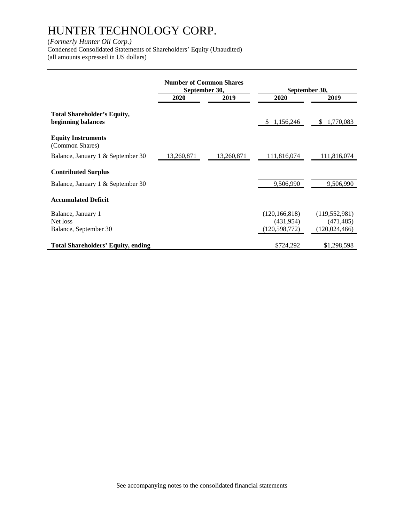### (*Formerly Hunter Oil Corp.)*

Condensed Consolidated Statements of Shareholders' Equity (Unaudited) (all amounts expressed in US dollars)

|                                                         | <b>Number of Common Shares</b><br>September 30, |            | September 30,                                    |                                                  |  |
|---------------------------------------------------------|-------------------------------------------------|------------|--------------------------------------------------|--------------------------------------------------|--|
|                                                         | 2020<br>2019                                    |            | 2020                                             | 2019                                             |  |
| Total Shareholder's Equity,<br>beginning balances       |                                                 |            | 1,156,246<br>S.                                  | 1,770,083<br>\$                                  |  |
| <b>Equity Instruments</b><br>(Common Shares)            |                                                 |            |                                                  |                                                  |  |
| Balance, January 1 & September 30                       | 13,260,871                                      | 13,260,871 | 111,816,074                                      | 111,816,074                                      |  |
| <b>Contributed Surplus</b>                              |                                                 |            |                                                  |                                                  |  |
| Balance, January 1 & September 30                       |                                                 |            | 9,506,990                                        | 9,506,990                                        |  |
| <b>Accumulated Deficit</b>                              |                                                 |            |                                                  |                                                  |  |
| Balance, January 1<br>Net loss<br>Balance, September 30 |                                                 |            | (120, 166, 818)<br>(431, 954)<br>(120, 598, 772) | (119, 552, 981)<br>(471, 485)<br>(120, 024, 466) |  |
| <b>Total Shareholders' Equity, ending</b>               |                                                 |            | \$724,292                                        | \$1,298,598                                      |  |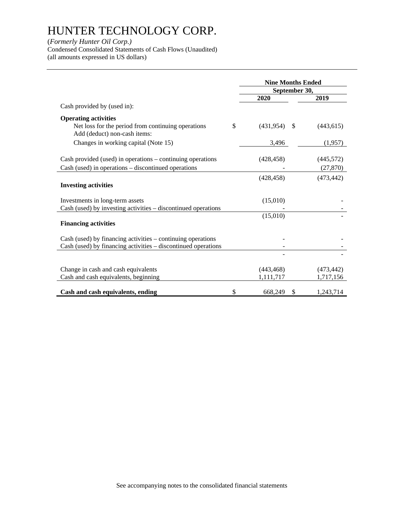### (*Formerly Hunter Oil Corp.)*

Condensed Consolidated Statements of Cash Flows (Unaudited) (all amounts expressed in US dollars)

|                                                                                                                              |              | <b>Nine Months Ended</b> |               |            |  |
|------------------------------------------------------------------------------------------------------------------------------|--------------|--------------------------|---------------|------------|--|
|                                                                                                                              |              | September 30,            |               |            |  |
|                                                                                                                              |              | 2020                     |               | 2019       |  |
| Cash provided by (used in):                                                                                                  |              |                          |               |            |  |
| <b>Operating activities</b>                                                                                                  |              |                          |               |            |  |
| Net loss for the period from continuing operations<br>Add (deduct) non-cash items:                                           | $\mathbb{S}$ | (431,954)                | <sup>\$</sup> | (443, 615) |  |
| Changes in working capital (Note 15)                                                                                         |              | 3,496                    |               | (1,957)    |  |
| Cash provided (used) in operations – continuing operations                                                                   |              | (428, 458)               |               | (445, 572) |  |
| Cash (used) in operations – discontinued operations                                                                          |              |                          |               | (27, 870)  |  |
|                                                                                                                              |              | (428.458)                |               | (473, 442) |  |
| <b>Investing activities</b>                                                                                                  |              |                          |               |            |  |
| Investments in long-term assets                                                                                              |              | (15,010)                 |               |            |  |
| Cash (used) by investing activities – discontinued operations                                                                |              |                          |               |            |  |
| <b>Financing activities</b>                                                                                                  |              | (15,010)                 |               |            |  |
| Cash (used) by financing activities – continuing operations<br>Cash (used) by financing activities - discontinued operations |              |                          |               |            |  |
|                                                                                                                              |              |                          |               |            |  |
| Change in cash and cash equivalents                                                                                          |              | (443, 468)               |               | (473, 442) |  |
| Cash and cash equivalents, beginning                                                                                         |              | 1,111,717                |               | 1,717,156  |  |
| Cash and cash equivalents, ending                                                                                            | \$           | 668,249                  | S             | 1,243,714  |  |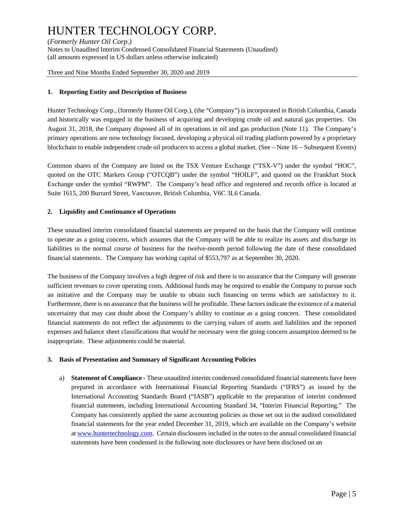(*Formerly Hunter Oil Corp.*)<br>Notes to Unaudited Interim Condensed Consolidated Financial Statements (Unaudited) (all amounts expressed in US dollars unless otherwise indicated)

Three and Nine Months Ended September 30, 2020 and 2019

#### **1. Reporting Entity and Description of Business**

Hunter Technology Corp., (formerly Hunter Oil Corp.), (the "Company") is incorporated in British Columbia, Canada and historically was engaged in the business of acquiring and developing crude oil and natural gas properties. On August 31, 2018, the Company disposed all of its operations in oil and gas production (Note 11). The Company's primary operations are now technology focused, developing a physical oil trading platform powered by a proprietary blockchain to enable independent crude oil producers to access a global market. (See – Note 16 – Subsequent Events)

Common shares of the Company are listed on the TSX Venture Exchange ("TSX-V") under the symbol "HOC", quoted on the OTC Markets Group ("OTCQB") under the symbol "HOILF", and quoted on the Frankfurt Stock Exchange under the symbol "RWPM". The Company's head office and registered and records office is located at Suite 1615, 200 Burrard Street, Vancouver, British Columbia, V6C 3L6 Canada.

#### **2. Liquidity and Continuance of Operations**

These unaudited interim consolidated financial statements are prepared on the basis that the Company will continue to operate as a going concern, which assumes that the Company will be able to realize its assets and discharge its liabilities in the normal course of business for the twelve-month period following the date of these consolidated financial statements. The Company has working capital of \$553,797 as at September 30, 2020.

The business of the Company involves a high degree of risk and there is no assurance that the Company will generate sufficient revenues to cover operating costs. Additional funds may be required to enable the Company to pursue such an initiative and the Company may be unable to obtain such financing on terms which are satisfactory to it. Furthermore, there is no assurance that the business will be profitable. These factors indicate the existence of a material uncertainty that may cast doubt about the Company's ability to continue as a going concern. These consolidated financial statements do not reflect the adjustments to the carrying values of assets and liabilities and the reported expenses and balance sheet classifications that would be necessary were the going concern assumption deemed to be inappropriate. These adjustments could be material.

#### **3. Basis of Presentation and Summary of Significant Accounting Policies**

a) **Statement of Compliance -** These unaudited interim condensed consolidated financial statements have been prepared in accordance with International Financial Reporting Standards ("IFRS") as issued by the International Accounting Standards Board ("IASB") applicable to the preparation of interim condensed financial statements, including International Accounting Standard 34, "Interim Financial Reporting." The Company has consistently applied the same accounting policies as those set out in the audited consolidated financial statements for the year ended December 31, 2019, which are available on the Company's website at www.huntertechnology.com. Certain disclosures included in the notes to the annual consolidated financial statements have been condensed in the following note disclosures or have been disclosed on an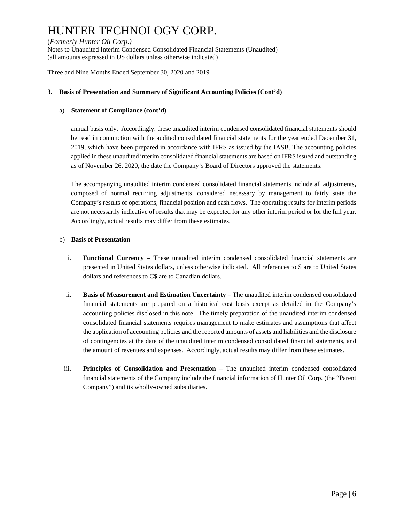(*Formerly Hunter Oil Corp.*)<br>Notes to Unaudited Interim Condensed Consolidated Financial Statements (Unaudited) (all amounts expressed in US dollars unless otherwise indicated)

Three and Nine Months Ended September 30, 2020 and 2019

#### **3. Basis of Presentation and Summary of Significant Accounting Policies (Cont'd)**

#### a) **Statement of Compliance (cont'd)**

annual basis only. Accordingly, these unaudited interim condensed consolidated financial statements should be read in conjunction with the audited consolidated financial statements for the year ended December 31, 2019, which have been prepared in accordance with IFRS as issued by the IASB. The accounting policies applied in these unaudited interim consolidated financial statements are based on IFRS issued and outstanding as of November 26, 2020, the date the Company's Board of Directors approved the statements.

The accompanying unaudited interim condensed consolidated financial statements include all adjustments, composed of normal recurring adjustments, considered necessary by management to fairly state the Company's results of operations, financial position and cash flows. The operating results for interim periods are not necessarily indicative of results that may be expected for any other interim period or for the full year. Accordingly, actual results may differ from these estimates.

#### b) **Basis of Presentation**

- i. **Functional Currency** These unaudited interim condensed consolidated financial statements are presented in United States dollars, unless otherwise indicated. All references to \$ are to United States dollars and references to C\$ are to Canadian dollars.
- ii. **Basis of Measurement and Estimation Uncertainty** The unaudited interim condensed consolidated financial statements are prepared on a historical cost basis except as detailed in the Company's accounting policies disclosed in this note. The timely preparation of the unaudited interim condensed consolidated financial statements requires management to make estimates and assumptions that affect the application of accounting policies and the reported amounts of assets and liabilities and the disclosure of contingencies at the date of the unaudited interim condensed consolidated financial statements, and the amount of revenues and expenses. Accordingly, actual results may differ from these estimates.
- iii. **Principles of Consolidation and Presentation** The unaudited interim condensed consolidated financial statements of the Company include the financial information of Hunter Oil Corp. (the "Parent Company") and its wholly-owned subsidiaries.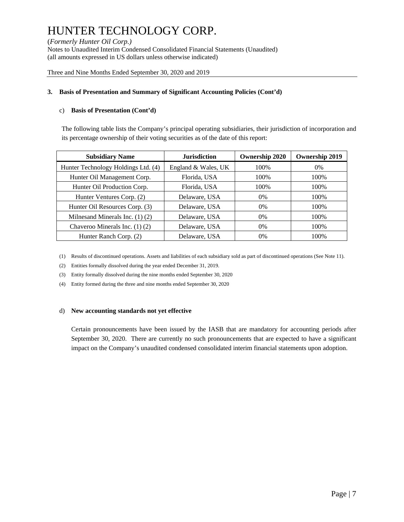(*Formerly Hunter Oil Corp.*)<br>Notes to Unaudited Interim Condensed Consolidated Financial Statements (Unaudited) (all amounts expressed in US dollars unless otherwise indicated)

Three and Nine Months Ended September 30, 2020 and 2019

#### **3. Basis of Presentation and Summary of Significant Accounting Policies (Cont'd)**

#### c) **Basis of Presentation (Cont'd)**

The following table lists the Company's principal operating subsidiaries, their jurisdiction of incorporation and its percentage ownership of their voting securities as of the date of this report:

| <b>Subsidiary Name</b>              | <b>Jurisdiction</b> | <b>Ownership 2020</b> | <b>Ownership 2019</b> |
|-------------------------------------|---------------------|-----------------------|-----------------------|
| Hunter Technology Holdings Ltd. (4) | England & Wales, UK | 100%                  | $0\%$                 |
| Hunter Oil Management Corp.         | Florida, USA        | 100\%                 | 100%                  |
| Hunter Oil Production Corp.         | Florida, USA        | 100\%                 | 100%                  |
| Hunter Ventures Corp. (2)           | Delaware, USA       | $0\%$                 | 100%                  |
| Hunter Oil Resources Corp. (3)      | Delaware, USA       | $0\%$                 | 100%                  |
| Milnesand Minerals Inc. $(1)$ $(2)$ | Delaware, USA       | $0\%$                 | 100%                  |
| Chaveroo Minerals Inc. $(1)$ $(2)$  | Delaware, USA       | $0\%$                 | 100%                  |
| Hunter Ranch Corp. (2)              | Delaware, USA       | $0\%$                 | 100%                  |

(1) Results of discontinued operations. Assets and liabilities of each subsidiary sold as part of discontinued operations (See Note 11).

(2) Entities formally dissolved during the year ended December 31, 2019.

(3) Entity formally dissolved during the nine months ended September 30, 2020

(4) Entity formed during the three and nine months ended September 30, 2020

#### d) **New accounting standards not yet effective**

Certain pronouncements have been issued by the IASB that are mandatory for accounting periods after September 30, 2020. There are currently no such pronouncements that are expected to have a significant impact on the Company's unaudited condensed consolidated interim financial statements upon adoption.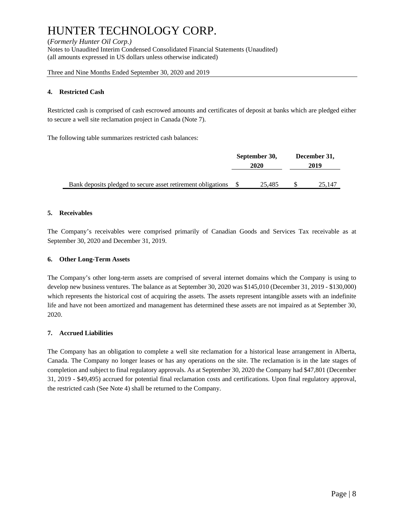(*Formerly Hunter Oil Corp.*)<br>Notes to Unaudited Interim Condensed Consolidated Financial Statements (Unaudited) (all amounts expressed in US dollars unless otherwise indicated)

Three and Nine Months Ended September 30, 2020 and 2019

#### **4. Restricted Cash**

Restricted cash is comprised of cash escrowed amounts and certificates of deposit at banks which are pledged either to secure a well site reclamation project in Canada (Note 7).

The following table summarizes restricted cash balances:

| September 30,<br>2020 |        | December 31,<br>2019 |        |
|-----------------------|--------|----------------------|--------|
|                       | 25.485 |                      | 25.147 |

#### **5. Receivables**

The Company's receivables were comprised primarily of Canadian Goods and Services Tax receivable as at September 30, 2020 and December 31, 2019.

#### **6. Other Long-Term Assets**

The Company's other long-term assets are comprised of several internet domains which the Company is using to develop new business ventures. The balance as at September 30, 2020 was \$145,010 (December 31, 2019 - \$130,000) which represents the historical cost of acquiring the assets. The assets represent intangible assets with an indefinite life and have not been amortized and management has determined these assets are not impaired as at September 30, 2020.

#### **7. Accrued Liabilities**

The Company has an obligation to complete a well site reclamation for a historical lease arrangement in Alberta, Canada. The Company no longer leases or has any operations on the site. The reclamation is in the late stages of completion and subject to final regulatory approvals. As at September 30, 2020 the Company had \$47,801 (December 31, 2019 - \$49,495) accrued for potential final reclamation costs and certifications. Upon final regulatory approval, the restricted cash (See Note 4) shall be returned to the Company.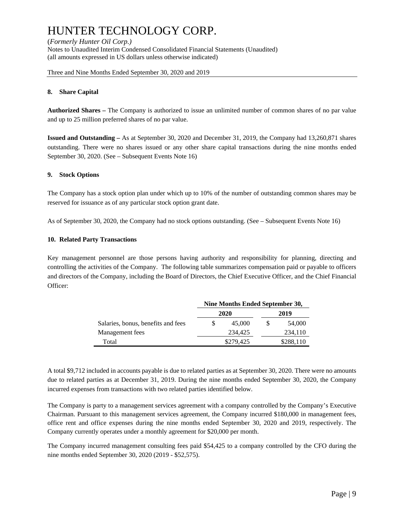(*Formerly Hunter Oil Corp.*)<br>Notes to Unaudited Interim Condensed Consolidated Financial Statements (Unaudited) (all amounts expressed in US dollars unless otherwise indicated)

Three and Nine Months Ended September 30, 2020 and 2019

#### **8. Share Capital**

**Authorized Shares –** The Company is authorized to issue an unlimited number of common shares of no par value and up to 25 million preferred shares of no par value.

**Issued and Outstanding –** As at September 30, 2020 and December 31, 2019, the Company had 13,260,871 shares outstanding. There were no shares issued or any other share capital transactions during the nine months ended September 30, 2020. (See – Subsequent Events Note 16)

#### **9. Stock Options**

The Company has a stock option plan under which up to 10% of the number of outstanding common shares may be reserved for issuance as of any particular stock option grant date.

As of September 30, 2020, the Company had no stock options outstanding. (See – Subsequent Events Note 16)

#### **10. Related Party Transactions**

Key management personnel are those persons having authority and responsibility for planning, directing and controlling the activities of the Company. The following table summarizes compensation paid or payable to officers and directors of the Company, including the Board of Directors, the Chief Executive Officer, and the Chief Financial Officer:

|                                    | Nine Months Ended September 30, |           |  |           |  |
|------------------------------------|---------------------------------|-----------|--|-----------|--|
|                                    |                                 | 2020      |  | 2019      |  |
| Salaries, bonus, benefits and fees |                                 | 45,000    |  | 54,000    |  |
| Management fees                    |                                 | 234.425   |  | 234,110   |  |
| Total                              |                                 | \$279,425 |  | \$288,110 |  |

A total \$9,712 included in accounts payable is due to related parties as at September 30, 2020. There were no amounts due to related parties as at December 31, 2019. During the nine months ended September 30, 2020, the Company incurred expenses from transactions with two related parties identified below.

The Company is party to a management services agreement with a company controlled by the Company's Executive Chairman. Pursuant to this management services agreement, the Company incurred \$180,000 in management fees, office rent and office expenses during the nine months ended September 30, 2020 and 2019, respectively. The Company currently operates under a monthly agreement for \$20,000 per month.

The Company incurred management consulting fees paid \$54,425 to a company controlled by the CFO during the nine months ended September 30, 2020 (2019 - \$52,575).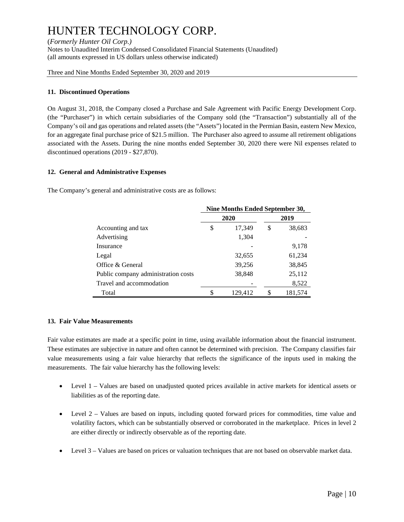(*Formerly Hunter Oil Corp.*)<br>Notes to Unaudited Interim Condensed Consolidated Financial Statements (Unaudited) (all amounts expressed in US dollars unless otherwise indicated)

Three and Nine Months Ended September 30, 2020 and 2019

#### **11. Discontinued Operations**

On August 31, 2018, the Company closed a Purchase and Sale Agreement with Pacific Energy Development Corp. (the "Purchaser") in which certain subsidiaries of the Company sold (the "Transaction") substantially all of the Company's oil and gas operations and related assets (the "Assets") located in the Permian Basin, eastern New Mexico, for an aggregate final purchase price of \$21.5 million. The Purchaser also agreed to assume all retirement obligations associated with the Assets. During the nine months ended September 30, 2020 there were Nil expenses related to discontinued operations (2019 - \$27,870).

#### **12. General and Administrative Expenses**

The Company's general and administrative costs are as follows:

|                                     | Nine Months Ended September 30, |         |      |         |  |  |
|-------------------------------------|---------------------------------|---------|------|---------|--|--|
|                                     |                                 | 2020    | 2019 |         |  |  |
| Accounting and tax                  | \$                              | 17,349  | \$   | 38,683  |  |  |
| Advertising                         |                                 | 1,304   |      |         |  |  |
| Insurance                           |                                 |         |      | 9,178   |  |  |
| Legal                               |                                 | 32,655  |      | 61,234  |  |  |
| Office & General                    |                                 | 39,256  |      | 38,845  |  |  |
| Public company administration costs |                                 | 38,848  |      | 25,112  |  |  |
| Travel and accommodation            |                                 |         |      | 8,522   |  |  |
| Total                               | \$                              | 129,412 | \$   | 181,574 |  |  |

#### **13. Fair Value Measurements**

Fair value estimates are made at a specific point in time, using available information about the financial instrument. These estimates are subjective in nature and often cannot be determined with precision. The Company classifies fair value measurements using a fair value hierarchy that reflects the significance of the inputs used in making the measurements. The fair value hierarchy has the following levels:

- Level 1 Values are based on unadjusted quoted prices available in active markets for identical assets or liabilities as of the reporting date.
- Level 2 Values are based on inputs, including quoted forward prices for commodities, time value and volatility factors, which can be substantially observed or corroborated in the marketplace. Prices in level 2 are either directly or indirectly observable as of the reporting date.
- Level 3 Values are based on prices or valuation techniques that are not based on observable market data.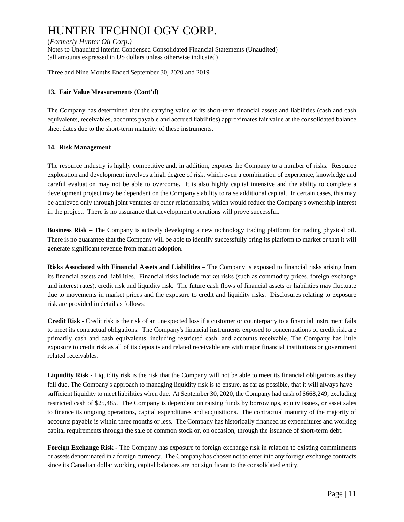(*Formerly Hunter Oil Corp.*)<br>Notes to Unaudited Interim Condensed Consolidated Financial Statements (Unaudited) (all amounts expressed in US dollars unless otherwise indicated)

Three and Nine Months Ended September 30, 2020 and 2019

#### **13. Fair Value Measurements (Cont'd)**

The Company has determined that the carrying value of its short-term financial assets and liabilities (cash and cash equivalents, receivables, accounts payable and accrued liabilities) approximates fair value at the consolidated balance sheet dates due to the short-term maturity of these instruments.

#### **14. Risk Management**

The resource industry is highly competitive and, in addition, exposes the Company to a number of risks. Resource exploration and development involves a high degree of risk, which even a combination of experience, knowledge and careful evaluation may not be able to overcome. It is also highly capital intensive and the ability to complete a development project may be dependent on the Company's ability to raise additional capital. In certain cases, this may be achieved only through joint ventures or other relationships, which would reduce the Company's ownership interest in the project. There is no assurance that development operations will prove successful.

**Business Risk** – The Company is actively developing a new technology trading platform for trading physical oil. There is no guarantee that the Company will be able to identify successfully bring its platform to market or that it will generate significant revenue from market adoption.

**Risks Associated with Financial Assets and Liabilities** – The Company is exposed to financial risks arising from its financial assets and liabilities. Financial risks include market risks (such as commodity prices, foreign exchange and interest rates), credit risk and liquidity risk. The future cash flows of financial assets or liabilities may fluctuate due to movements in market prices and the exposure to credit and liquidity risks. Disclosures relating to exposure risk are provided in detail as follows:

**Credit Risk -** Credit risk is the risk of an unexpected loss if a customer or counterparty to a financial instrument fails to meet its contractual obligations. The Company's financial instruments exposed to concentrations of credit risk are primarily cash and cash equivalents, including restricted cash, and accounts receivable. The Company has little exposure to credit risk as all of its deposits and related receivable are with major financial institutions or government related receivables.

**Liquidity Risk** - Liquidity risk is the risk that the Company will not be able to meet its financial obligations as they fall due. The Company's approach to managing liquidity risk is to ensure, as far as possible, that it will always have sufficient liquidity to meet liabilities when due. At September 30, 2020, the Company had cash of \$668,249, excluding restricted cash of \$25,485. The Company is dependent on raising funds by borrowings, equity issues, or asset sales to finance its ongoing operations, capital expenditures and acquisitions. The contractual maturity of the majority of accounts payable is within three months or less. The Company has historically financed its expenditures and working capital requirements through the sale of common stock or, on occasion, through the issuance of short-term debt.

**Foreign Exchange Risk -** The Company has exposure to foreign exchange risk in relation to existing commitments or assets denominated in a foreign currency. The Company has chosen not to enter into any foreign exchange contracts since its Canadian dollar working capital balances are not significant to the consolidated entity.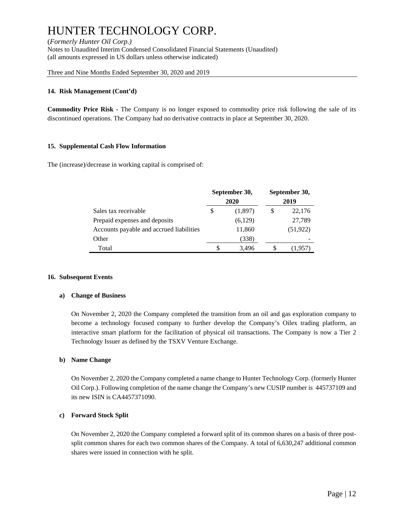(*Formerly Hunter Oil Corp.*)<br>Notes to Unaudited Interim Condensed Consolidated Financial Statements (Unaudited) (all amounts expressed in US dollars unless otherwise indicated)

Three and Nine Months Ended September 30, 2020 and 2019

#### **14. Risk Management (Cont'd)**

**Commodity Price Risk -** The Company is no longer exposed to commodity price risk following the sale of its discontinued operations. The Company had no derivative contracts in place at September 30, 2020.

#### **15. Supplemental Cash Flow Information**

The (increase)/decrease in working capital is comprised of:

|                                          |   | September 30,<br>2020 | September 30,<br>2019 |           |  |
|------------------------------------------|---|-----------------------|-----------------------|-----------|--|
| Sales tax receivable                     | S | (1,897)               | S                     | 22,176    |  |
| Prepaid expenses and deposits            |   | (6,129)               |                       | 27,789    |  |
| Accounts payable and accrued liabilities |   | 11,860                |                       | (51, 922) |  |
| Other                                    |   | (338)                 |                       |           |  |
| Total                                    | S | 3,496                 |                       | (1.957    |  |

#### **16. Subsequent Events**

#### **a) Change of Business**

On November 2, 2020 the Company completed the transition from an oil and gas exploration company to become a technology focused company to further develop the Company's Oilex trading platform, an interactive smart platform for the facilitation of physical oil transactions. The Company is now a Tier 2 Technology Issuer as defined by the TSXV Venture Exchange.

#### **b) Name Change**

On November 2, 2020 the Company completed a name change to Hunter Technology Corp. (formerly Hunter Oil Corp.). Following completion of the name change the Company's new CUSIP number is 445737109 and its new ISIN is CA4457371090.

#### **c) Forward Stock Split**

On November 2, 2020 the Company completed a forward split of its common shares on a basis of three postsplit common shares for each two common shares of the Company. A total of 6,630,247 additional common shares were issued in connection with he split.